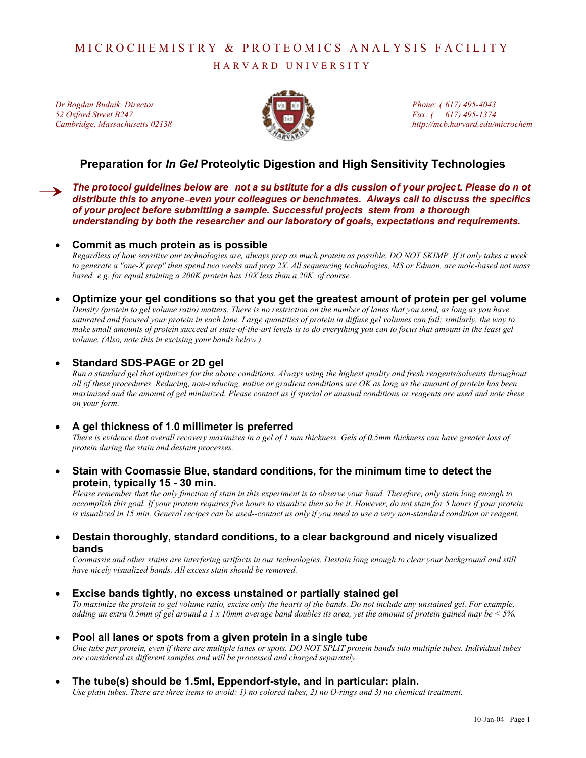# MICROCHEMISTRY & PROTEOMICS ANALYSIS FACILITY

HARVARD UNIVERSITY

*Dr Bogdan Budnik, Director 52 Oxford Street B247 Cambridge, Massachusetts 02138* 



*Phone: ( 617) 495-4043 Fax: ( 617) 495-1374 http://mcb.harvard.edu/microchem*

## **Preparation for** *In Gel* **Proteolytic Digestion and High Sensitivity Technologies**

*The protocol guidelines below are not a su bstitute for a dis cussion of your project. Please do n ot distribute this to anyone*−*even your colleagues or benchmates. Always call to discuss the specifics of your project before submitting a sample. Successful projects stem from a thorough understanding by both the researcher and our laboratory of goals, expectations and requirements.* 

## • **Commit as much protein as is possible**

*Regardless of how sensitive our technologies are, always prep as much protein as possible. DO NOT SKIMP. If it only takes a week to generate a "one-X prep" then spend two weeks and prep 2X. All sequencing technologies, MS or Edman, are mole-based not mass based: e.g. for equal staining a 200K protein has 10X less than a 20K, of course.* 

• **Optimize your gel conditions so that you get the greatest amount of protein per gel volume**  *Density (protein to gel volume ratio) matters. There is no restriction on the number of lanes that you send, as long as you have saturated and focused your protein in each lane. Large quantities of protein in diffuse gel volumes can fail; similarly, the way to make small amounts of protein succeed at state-of-the-art levels is to do everything you can to focus that amount in the least gel volume. (Also, note this in excising your bands below.)* 

## • **Standard SDS-PAGE or 2D gel**

*Run a standard gel that optimizes for the above conditions. Always using the highest quality and fresh reagents/solvents throughout all of these procedures. Reducing, non-reducing, native or gradient conditions are OK as long as the amount of protein has been maximized and the amount of gel minimized. Please contact us if special or unusual conditions or reagents are used and note these on your form.* 

## • **A gel thickness of 1.0 millimeter is preferred**

*There is evidence that overall recovery maximizes in a gel of 1 mm thickness. Gels of 0.5mm thickness can have greater loss of protein during the stain and destain processes.* 

• **Stain with Coomassie Blue, standard conditions, for the minimum time to detect the protein, typically 15 - 30 min.** 

*Please remember that the only function of stain in this experiment is to observe your band. Therefore, only stain long enough to accomplish this goal. If your protein requires five hours to visualize then so be it. However, do not stain for 5 hours if your protein is visualized in 15 min. General recipes can be used--contact us only if you need to use a very non-standard condition or reagent.* 

## • **Destain thoroughly, standard conditions, to a clear background and nicely visualized bands**

*Coomassie and other stains are interfering artifacts in our technologies. Destain long enough to clear your background and still have nicely visualized bands. All excess stain should be removed.* 

## • **Excise bands tightly, no excess unstained or partially stained gel**

*To maximize the protein to gel volume ratio, excise only the hearts of the bands. Do not include any unstained gel. For example, adding an extra 0.5mm of gel around a 1 x 10mm average band doubles its area, yet the amount of protein gained may be < 5%.* 

• **Pool all lanes or spots from a given protein in a single tube** 

*One tube per protein, even if there are multiple lanes or spots. DO NOT SPLIT protein bands into multiple tubes. Individual tubes are considered as different samples and will be processed and charged separately.* 

## • **The tube(s) should be 1.5ml, Eppendorf-style, and in particular: plain.**

*Use plain tubes. There are three items to avoid: 1) no colored tubes, 2) no O-rings and 3) no chemical treatment.*